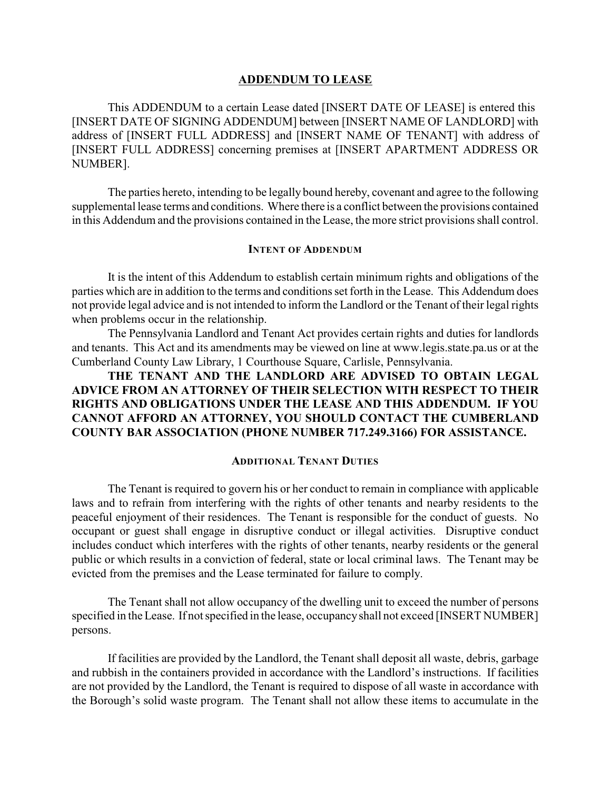#### **ADDENDUM TO LEASE**

This ADDENDUM to a certain Lease dated [INSERT DATE OF LEASE] is entered this [INSERT DATE OF SIGNING ADDENDUM] between [INSERT NAME OF LANDLORD] with address of [INSERT FULL ADDRESS] and [INSERT NAME OF TENANT] with address of [INSERT FULL ADDRESS] concerning premises at [INSERT APARTMENT ADDRESS OR NUMBER].

The parties hereto, intending to be legally bound hereby, covenant and agree to the following supplemental lease terms and conditions. Where there is a conflict between the provisions contained in this Addendum and the provisions contained in the Lease, the more strict provisions shall control.

## **INTENT OF ADDENDUM**

It is the intent of this Addendum to establish certain minimum rights and obligations of the parties which are in addition to the terms and conditions set forth in the Lease. This Addendum does not provide legal advice and is not intended to inform the Landlord or the Tenant of their legal rights when problems occur in the relationship.

The Pennsylvania Landlord and Tenant Act provides certain rights and duties for landlords and tenants. This Act and its amendments may be viewed on line at www.legis.state.pa.us or at the Cumberland County Law Library, 1 Courthouse Square, Carlisle, Pennsylvania.

**THE TENANT AND THE LANDLORD ARE ADVISED TO OBTAIN LEGAL ADVICE FROM AN ATTORNEY OF THEIR SELECTION WITH RESPECT TO THEIR RIGHTS AND OBLIGATIONS UNDER THE LEASE AND THIS ADDENDUM. IF YOU CANNOT AFFORD AN ATTORNEY, YOU SHOULD CONTACT THE CUMBERLAND COUNTY BAR ASSOCIATION (PHONE NUMBER 717.249.3166) FOR ASSISTANCE.**

# **ADDITIONAL TENANT DUTIES**

The Tenant is required to govern his or her conduct to remain in compliance with applicable laws and to refrain from interfering with the rights of other tenants and nearby residents to the peaceful enjoyment of their residences. The Tenant is responsible for the conduct of guests. No occupant or guest shall engage in disruptive conduct or illegal activities. Disruptive conduct includes conduct which interferes with the rights of other tenants, nearby residents or the general public or which results in a conviction of federal, state or local criminal laws. The Tenant may be evicted from the premises and the Lease terminated for failure to comply.

The Tenant shall not allow occupancy of the dwelling unit to exceed the number of persons specified in the Lease. If not specified in the lease, occupancyshall not exceed [INSERT NUMBER] persons.

If facilities are provided by the Landlord, the Tenant shall deposit all waste, debris, garbage and rubbish in the containers provided in accordance with the Landlord's instructions. If facilities are not provided by the Landlord, the Tenant is required to dispose of all waste in accordance with the Borough's solid waste program. The Tenant shall not allow these items to accumulate in the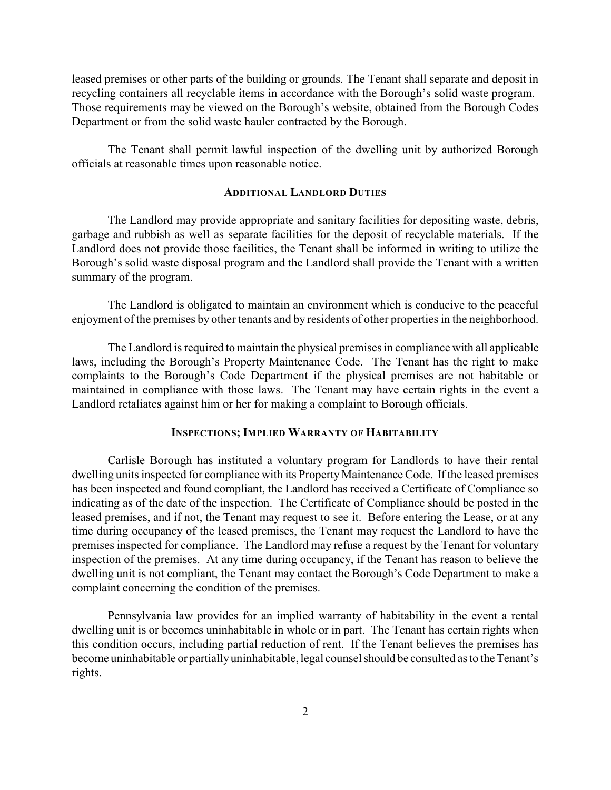leased premises or other parts of the building or grounds. The Tenant shall separate and deposit in recycling containers all recyclable items in accordance with the Borough's solid waste program. Those requirements may be viewed on the Borough's website, obtained from the Borough Codes Department or from the solid waste hauler contracted by the Borough.

The Tenant shall permit lawful inspection of the dwelling unit by authorized Borough officials at reasonable times upon reasonable notice.

## **ADDITIONAL LANDLORD DUTIES**

The Landlord may provide appropriate and sanitary facilities for depositing waste, debris, garbage and rubbish as well as separate facilities for the deposit of recyclable materials. If the Landlord does not provide those facilities, the Tenant shall be informed in writing to utilize the Borough's solid waste disposal program and the Landlord shall provide the Tenant with a written summary of the program.

The Landlord is obligated to maintain an environment which is conducive to the peaceful enjoyment of the premises by other tenants and by residents of other properties in the neighborhood.

The Landlord is required to maintain the physical premises in compliance with all applicable laws, including the Borough's Property Maintenance Code. The Tenant has the right to make complaints to the Borough's Code Department if the physical premises are not habitable or maintained in compliance with those laws. The Tenant may have certain rights in the event a Landlord retaliates against him or her for making a complaint to Borough officials.

#### **INSPECTIONS; IMPLIED WARRANTY OF HABITABILITY**

Carlisle Borough has instituted a voluntary program for Landlords to have their rental dwelling units inspected for compliance with its Property Maintenance Code. If the leased premises has been inspected and found compliant, the Landlord has received a Certificate of Compliance so indicating as of the date of the inspection. The Certificate of Compliance should be posted in the leased premises, and if not, the Tenant may request to see it. Before entering the Lease, or at any time during occupancy of the leased premises, the Tenant may request the Landlord to have the premises inspected for compliance. The Landlord may refuse a request by the Tenant for voluntary inspection of the premises. At any time during occupancy, if the Tenant has reason to believe the dwelling unit is not compliant, the Tenant may contact the Borough's Code Department to make a complaint concerning the condition of the premises.

Pennsylvania law provides for an implied warranty of habitability in the event a rental dwelling unit is or becomes uninhabitable in whole or in part. The Tenant has certain rights when this condition occurs, including partial reduction of rent. If the Tenant believes the premises has become uninhabitable or partiallyuninhabitable, legal counsel should be consulted as to the Tenant's rights.